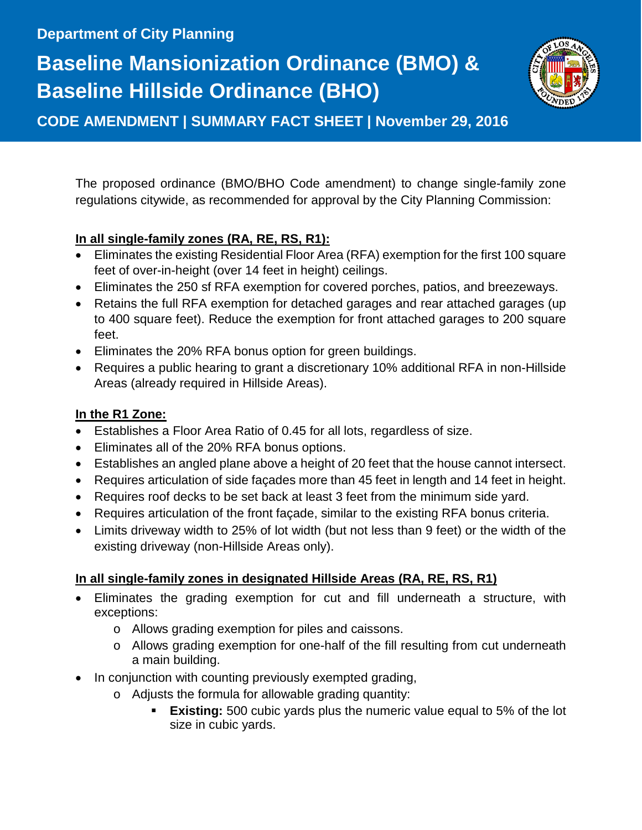## **Baseline Mansionization Ordinance (BMO) & Baseline Hillside Ordinance (BHO)**



**CODE AMENDMENT | SUMMARY FACT SHEET | November 29, 2016**

The proposed ordinance (BMO/BHO Code amendment) to change single-family zone regulations citywide, as recommended for approval by the City Planning Commission:

## **In all single-family zones (RA, RE, RS, R1):**

- Eliminates the existing Residential Floor Area (RFA) exemption for the first 100 square feet of over-in-height (over 14 feet in height) ceilings.
- Eliminates the 250 sf RFA exemption for covered porches, patios, and breezeways.
- Retains the full RFA exemption for detached garages and rear attached garages (up to 400 square feet). Reduce the exemption for front attached garages to 200 square feet.
- Eliminates the 20% RFA bonus option for green buildings.
- Requires a public hearing to grant a discretionary 10% additional RFA in non-Hillside Areas (already required in Hillside Areas).

## **In the R1 Zone:**

- Establishes a Floor Area Ratio of 0.45 for all lots, regardless of size.
- Eliminates all of the 20% RFA bonus options.
- Establishes an angled plane above a height of 20 feet that the house cannot intersect.
- Requires articulation of side façades more than 45 feet in length and 14 feet in height.
- Requires roof decks to be set back at least 3 feet from the minimum side yard.
- Requires articulation of the front façade, similar to the existing RFA bonus criteria.
- Limits driveway width to 25% of lot width (but not less than 9 feet) or the width of the existing driveway (non-Hillside Areas only).

## **In all single-family zones in designated Hillside Areas (RA, RE, RS, R1)**

- Eliminates the grading exemption for cut and fill underneath a structure, with exceptions:
	- o Allows grading exemption for piles and caissons.
	- o Allows grading exemption for one-half of the fill resulting from cut underneath a main building.
- In conjunction with counting previously exempted grading,
	- o Adjusts the formula for allowable grading quantity:
		- **Existing:** 500 cubic yards plus the numeric value equal to 5% of the lot size in cubic yards.